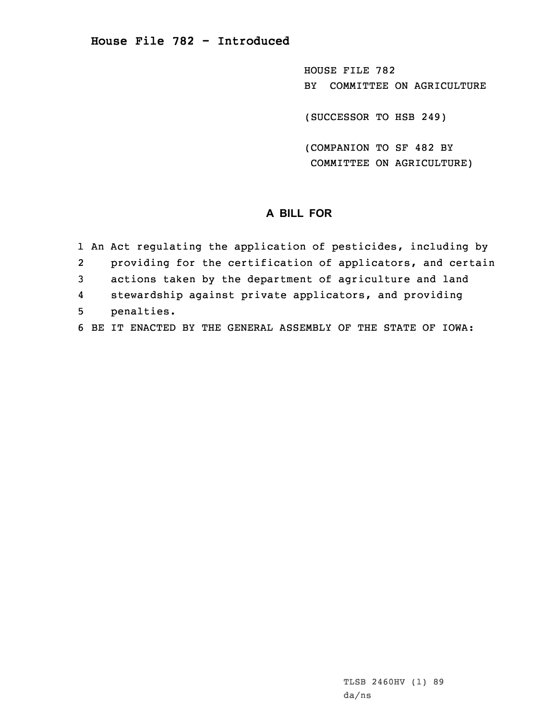HOUSE FILE 782 BY COMMITTEE ON AGRICULTURE

(SUCCESSOR TO HSB 249)

(COMPANION TO SF 482 BY COMMITTEE ON AGRICULTURE)

## **A BILL FOR**

|   | 1 An Act regulating the application of pesticides, including by |
|---|-----------------------------------------------------------------|
| 2 | providing for the certification of applicators, and certain     |
| 3 | actions taken by the department of agriculture and land         |
| 4 | stewardship against private applicators, and providing          |
| 5 | penalties.                                                      |
|   | 6 BE IT ENACTED BY THE GENERAL ASSEMBLY OF THE STATE OF IOWA:   |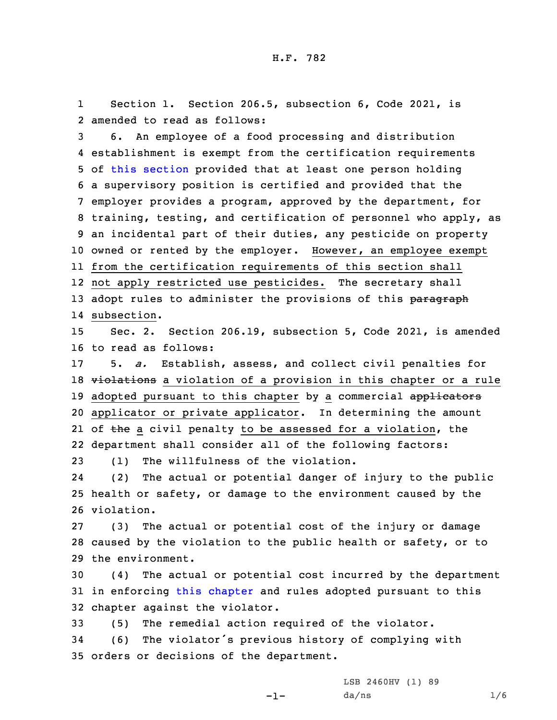1 Section 1. Section 206.5, subsection 6, Code 2021, is 2 amended to read as follows:

 6. An employee of <sup>a</sup> food processing and distribution establishment is exempt from the certification requirements of this [section](https://www.legis.iowa.gov/docs/code/2021/206.5.pdf) provided that at least one person holding <sup>a</sup> supervisory position is certified and provided that the employer provides <sup>a</sup> program, approved by the department, for training, testing, and certification of personnel who apply, as an incidental part of their duties, any pesticide on property owned or rented by the employer. However, an employee exempt from the certification requirements of this section shall not apply restricted use pesticides. The secretary shall 13 adopt rules to administer the provisions of this paragraph subsection.

15 Sec. 2. Section 206.19, subsection 5, Code 2021, is amended 16 to read as follows:

17 5. *a.* Establish, assess, and collect civil penalties for 18 violations a violation of a provision in this chapter or a rule 19 adopted pursuant to this chapter by a commercial applicators 20 applicator or private applicator. In determining the amount 21 of <del>the</del> a civil penalty to be assessed for a violation, the 22 department shall consider all of the following factors: 23 (1) The willfulness of the violation.

24 (2) The actual or potential danger of injury to the public 25 health or safety, or damage to the environment caused by the 26 violation.

27 (3) The actual or potential cost of the injury or damage 28 caused by the violation to the public health or safety, or to 29 the environment.

30 (4) The actual or potential cost incurred by the department 31 in enforcing this [chapter](https://www.legis.iowa.gov/docs/code/2021/206.pdf) and rules adopted pursuant to this 32 chapter against the violator.

33 (5) The remedial action required of the violator.

<sup>34</sup> (6) The violator's previous history of complying with 35 orders or decisions of the department.

-1-

LSB 2460HV (1) 89  $da/ns$  1/6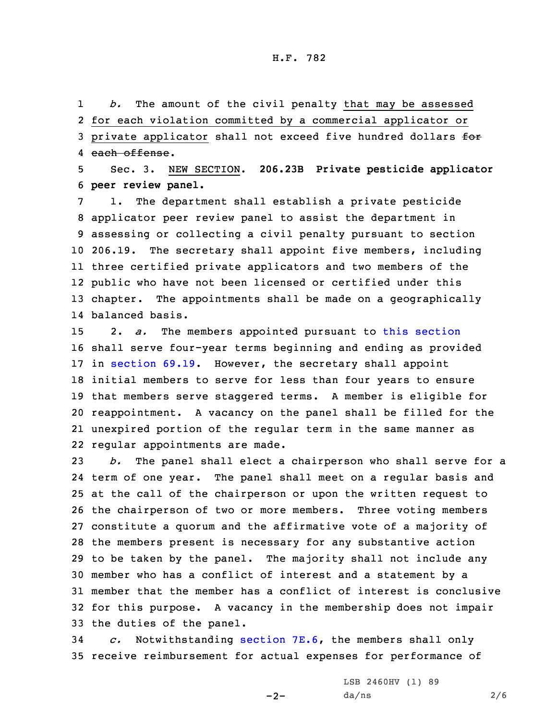1 *b.* The amount of the civil penalty that may be assessed 2 for each violation committed by <sup>a</sup> commercial applicator or 3 private applicator shall not exceed five hundred dollars for 4 each offense.

5 Sec. 3. NEW SECTION. **206.23B Private pesticide applicator** 6 **peer review panel.**

 1. The department shall establish <sup>a</sup> private pesticide applicator peer review panel to assist the department in assessing or collecting <sup>a</sup> civil penalty pursuant to section 206.19. The secretary shall appoint five members, including three certified private applicators and two members of the public who have not been licensed or certified under this chapter. The appointments shall be made on <sup>a</sup> geographically balanced basis.

 2. *a.* The members appointed pursuant to this [section](https://www.legis.iowa.gov/docs/code/2021/206.23A.pdf) shall serve four-year terms beginning and ending as provided in [section](https://www.legis.iowa.gov/docs/code/2021/69.19.pdf) 69.19. However, the secretary shall appoint initial members to serve for less than four years to ensure that members serve staggered terms. <sup>A</sup> member is eligible for reappointment. <sup>A</sup> vacancy on the panel shall be filled for the unexpired portion of the regular term in the same manner as regular appointments are made.

 *b.* The panel shall elect <sup>a</sup> chairperson who shall serve for <sup>a</sup> term of one year. The panel shall meet on <sup>a</sup> regular basis and at the call of the chairperson or upon the written request to the chairperson of two or more members. Three voting members constitute <sup>a</sup> quorum and the affirmative vote of <sup>a</sup> majority of the members present is necessary for any substantive action to be taken by the panel. The majority shall not include any member who has <sup>a</sup> conflict of interest and <sup>a</sup> statement by <sup>a</sup> member that the member has <sup>a</sup> conflict of interest is conclusive for this purpose. <sup>A</sup> vacancy in the membership does not impair the duties of the panel.

34 *c.* Notwithstanding [section](https://www.legis.iowa.gov/docs/code/2021/7E.6.pdf) 7E.6, the members shall only 35 receive reimbursement for actual expenses for performance of

 $-2-$ 

LSB 2460HV (1) 89  $da/ns$  2/6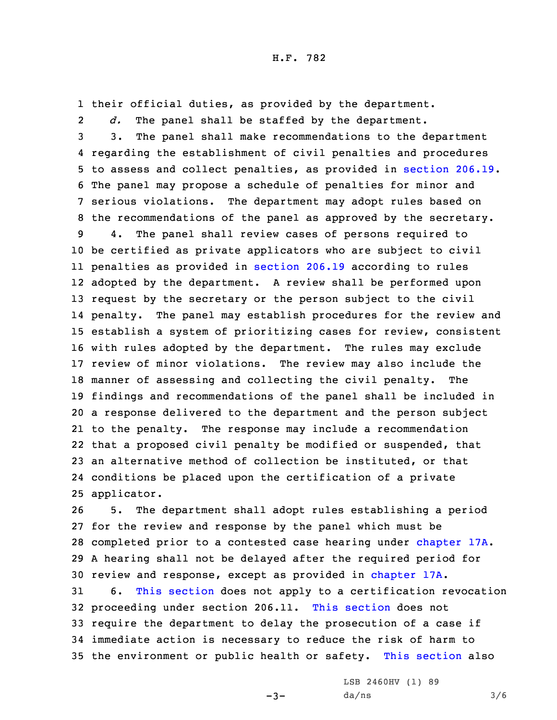1 their official duties, as provided by the department.

2 *d.* The panel shall be staffed by the department. 3. The panel shall make recommendations to the department regarding the establishment of civil penalties and procedures to assess and collect penalties, as provided in [section](https://www.legis.iowa.gov/docs/code/2021/206.19.pdf) 206.19. The panel may propose <sup>a</sup> schedule of penalties for minor and serious violations. The department may adopt rules based on the recommendations of the panel as approved by the secretary. 4. The panel shall review cases of persons required to be certified as private applicators who are subject to civil penalties as provided in [section](https://www.legis.iowa.gov/docs/code/2021/206.19.pdf) 206.19 according to rules adopted by the department. <sup>A</sup> review shall be performed upon request by the secretary or the person subject to the civil penalty. The panel may establish procedures for the review and establish <sup>a</sup> system of prioritizing cases for review, consistent with rules adopted by the department. The rules may exclude review of minor violations. The review may also include the manner of assessing and collecting the civil penalty. The findings and recommendations of the panel shall be included in <sup>a</sup> response delivered to the department and the person subject to the penalty. The response may include <sup>a</sup> recommendation that <sup>a</sup> proposed civil penalty be modified or suspended, that an alternative method of collection be instituted, or that conditions be placed upon the certification of <sup>a</sup> private applicator.

 5. The department shall adopt rules establishing <sup>a</sup> period for the review and response by the panel which must be completed prior to <sup>a</sup> contested case hearing under [chapter](https://www.legis.iowa.gov/docs/code/2021/17A.pdf) 17A. <sup>A</sup> hearing shall not be delayed after the required period for review and response, except as provided in [chapter](https://www.legis.iowa.gov/docs/code/2021/17A.pdf) 17A.

 6. This [section](https://www.legis.iowa.gov/docs/code/2021/206.23A.pdf) does not apply to <sup>a</sup> certification revocation proceeding under section 206.11. This [section](https://www.legis.iowa.gov/docs/code/2021/206.23A.pdf) does not require the department to delay the prosecution of <sup>a</sup> case if immediate action is necessary to reduce the risk of harm to the environment or public health or safety. This [section](https://www.legis.iowa.gov/docs/code/2021/206.23A.pdf) also

 $-3-$ 

LSB 2460HV (1) 89  $da/ns$  3/6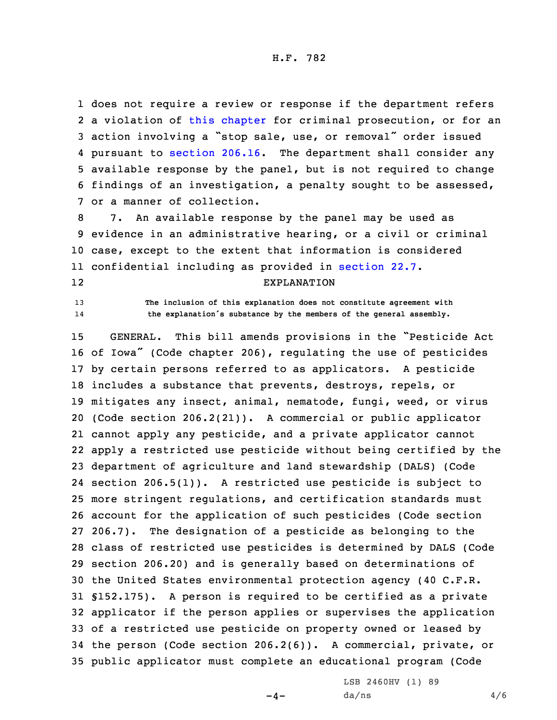H.F. 782

 does not require <sup>a</sup> review or response if the department refers <sup>a</sup> violation of this [chapter](https://www.legis.iowa.gov/docs/code/2021/206.pdf) for criminal prosecution, or for an action involving <sup>a</sup> "stop sale, use, or removal" order issued pursuant to [section](https://www.legis.iowa.gov/docs/code/2021/206.16.pdf) 206.16. The department shall consider any available response by the panel, but is not required to change findings of an investigation, <sup>a</sup> penalty sought to be assessed, or <sup>a</sup> manner of collection.

 7. An available response by the panel may be used as evidence in an administrative hearing, or <sup>a</sup> civil or criminal case, except to the extent that information is considered confidential including as provided in [section](https://www.legis.iowa.gov/docs/code/2021/22.7.pdf) 22.7. 12

## EXPLANATION

13 **The inclusion of this explanation does not constitute agreement with** 14**the explanation's substance by the members of the general assembly.**

 GENERAL. This bill amends provisions in the "Pesticide Act of Iowa" (Code chapter 206), regulating the use of pesticides by certain persons referred to as applicators. <sup>A</sup> pesticide includes <sup>a</sup> substance that prevents, destroys, repels, or mitigates any insect, animal, nematode, fungi, weed, or virus (Code section 206.2(21)). <sup>A</sup> commercial or public applicator cannot apply any pesticide, and <sup>a</sup> private applicator cannot apply <sup>a</sup> restricted use pesticide without being certified by the department of agriculture and land stewardship (DALS) (Code section 206.5(1)). <sup>A</sup> restricted use pesticide is subject to more stringent regulations, and certification standards must account for the application of such pesticides (Code section 206.7). The designation of <sup>a</sup> pesticide as belonging to the class of restricted use pesticides is determined by DALS (Code section 206.20) and is generally based on determinations of the United States environmental protection agency (40 C.F.R. §152.175). <sup>A</sup> person is required to be certified as <sup>a</sup> private applicator if the person applies or supervises the application of <sup>a</sup> restricted use pesticide on property owned or leased by the person (Code section 206.2(6)). <sup>A</sup> commercial, private, or public applicator must complete an educational program (Code

 $-4-$ 

LSB 2460HV (1) 89  $da/ns$  4/6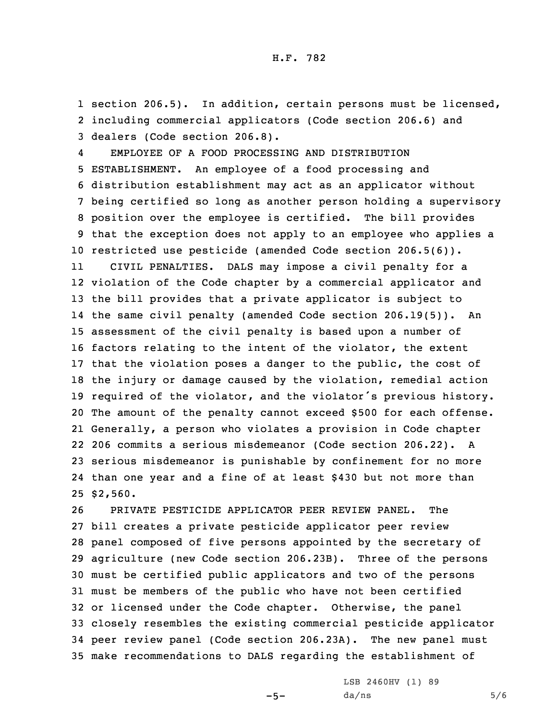1 section 206.5). In addition, certain persons must be licensed, 2 including commercial applicators (Code section 206.6) and 3 dealers (Code section 206.8).

4 EMPLOYEE OF A FOOD PROCESSING AND DISTRIBUTION ESTABLISHMENT. An employee of <sup>a</sup> food processing and distribution establishment may act as an applicator without being certified so long as another person holding <sup>a</sup> supervisory position over the employee is certified. The bill provides that the exception does not apply to an employee who applies <sup>a</sup> restricted use pesticide (amended Code section 206.5(6)). 11 CIVIL PENALTIES. DALS may impose <sup>a</sup> civil penalty for <sup>a</sup> violation of the Code chapter by <sup>a</sup> commercial applicator and the bill provides that <sup>a</sup> private applicator is subject to the same civil penalty (amended Code section 206.19(5)). An assessment of the civil penalty is based upon <sup>a</sup> number of factors relating to the intent of the violator, the extent that the violation poses <sup>a</sup> danger to the public, the cost of the injury or damage caused by the violation, remedial action required of the violator, and the violator's previous history. The amount of the penalty cannot exceed \$500 for each offense. Generally, <sup>a</sup> person who violates <sup>a</sup> provision in Code chapter 206 commits <sup>a</sup> serious misdemeanor (Code section 206.22). <sup>A</sup> serious misdemeanor is punishable by confinement for no more than one year and <sup>a</sup> fine of at least \$430 but not more than 25 \$2,560.

 PRIVATE PESTICIDE APPLICATOR PEER REVIEW PANEL. The bill creates <sup>a</sup> private pesticide applicator peer review panel composed of five persons appointed by the secretary of agriculture (new Code section 206.23B). Three of the persons must be certified public applicators and two of the persons must be members of the public who have not been certified or licensed under the Code chapter. Otherwise, the panel closely resembles the existing commercial pesticide applicator peer review panel (Code section 206.23A). The new panel must make recommendations to DALS regarding the establishment of

 $-5-$ 

LSB 2460HV (1) 89  $da/ns$  5/6